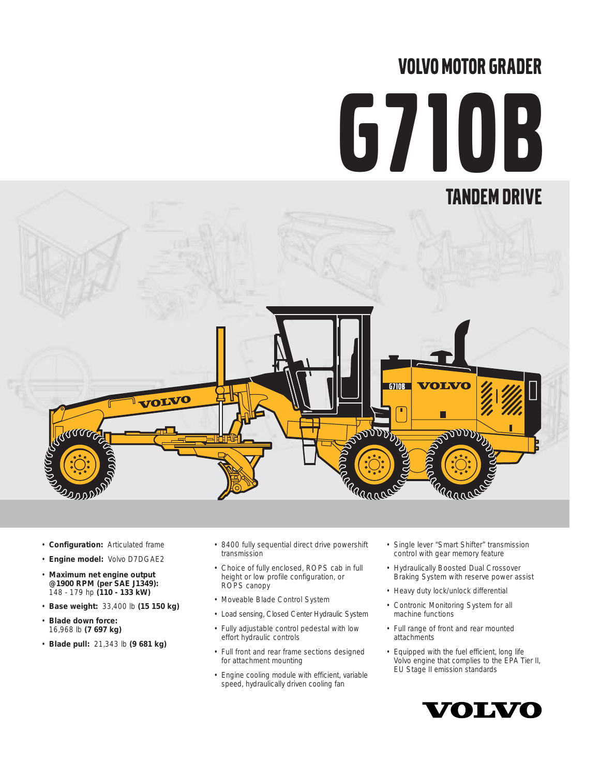# VOLVO MOTOR GRADER

# G710B



- **Configuration:** Articulated frame
- **Engine model:** Volvo D7DGAE2
- **Maximum net engine output @1900 RPM (per SAE J1349):** 148 - 179 hp **(110 - 133 kW)**
- **Base weight:** 33,400 lb **(15 150 kg)**
- **Blade down force:** 16,968 lb **(7 697 kg)**
- **Blade pull:** 21,343 lb **(9 681 kg)**
- 8400 fully sequential direct drive powershift transmission
- Choice of fully enclosed, ROPS cab in full height or low profile configuration, or ROPS canopy
- Moveable Blade Control System
- Load sensing, Closed Center Hydraulic System
- Fully adjustable control pedestal with low effort hydraulic controls
- Full front and rear frame sections designed for attachment mounting
- Engine cooling module with efficient, variable speed, hydraulically driven cooling fan
- Single lever "Smart Shifter" transmission control with gear memory feature
- Hydraulically Boosted Dual Crossover Braking System with reserve power assist
- Heavy duty lock/unlock differential
- Contronic Monitoring System for all machine functions
- Full range of front and rear mounted attachments
- Equipped with the fuel efficient, long life Volvo engine that complies to the EPA Tier II, EU Stage II emission standards

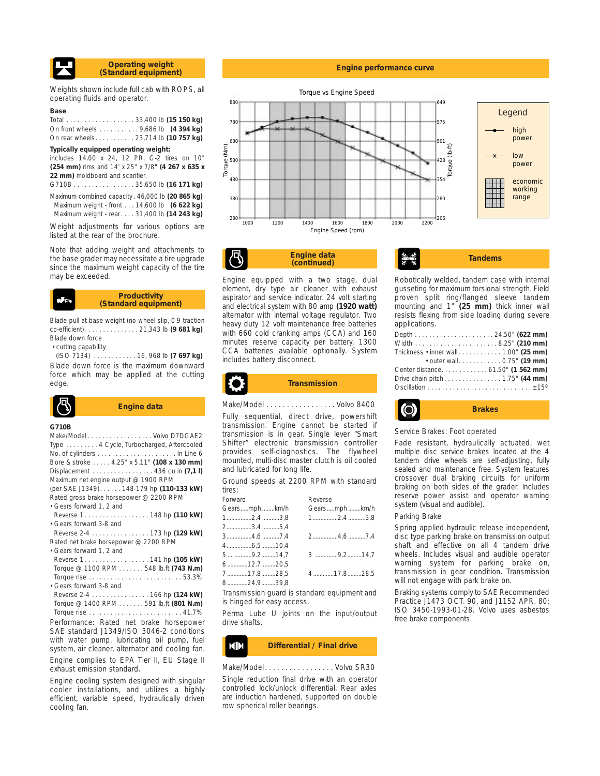

Weights shown include full cab with ROPS, all operating fluids and operator.

#### **Base**

Total . . . . . . . . . . . . . . . . . . . 33,400 lb **(15 150 kg)** On front wheels . . . . . . . . . . . 9,686 lb **(4 394 kg)** On rear wheels. . . . . . . . . . . 23,714 lb **(10 757 kg)**

#### **Typically equipped operating weight:**

includes 14.00 x 24, 12 PR, G-2 tires on 10" **(254 mm)** rims and 14' x 25" x 7/8" **(4 267 x 635 x 22 mm)** moldboard and scarifier.

G710B . . . . . . . . . . . . . . . . . 35,650 lb **(16 171 kg)** Maximum combined capacity . 46,000 lb **(20 865 kg)** Maximum weight - front . . . 14,600 lb **(6 622 kg)** Maximum weight - rear. . . . 31,400 lb **(14 243 kg)**

Weight adjustments for various options are listed at the rear of the brochure.

Note that adding weight and attachments to the base grader may necessitate a tire upgrade since the maximum weight capacity of the tire may be exceeded.

#### **Productivity (Standard equipment)**

Blade pull at base weight (no wheel slip, 0.9 traction co-efficient). . . . . . . . . . . . . . . 21,343 lb **(9 681 kg)** Blade down force

• cutting capability

(ISO 7134) . . . . . . . . . . . . 16, 968 lb **(7 697 kg)** Blade down force is the maximum downward force which may be applied at the cutting edge.



#### **G710B**

| Make/Model Volvo D7DGAE2                    |  |
|---------------------------------------------|--|
| Type 4 Cycle, Turbocharged, Aftercooled     |  |
|                                             |  |
| Bore & stroke  4.25" x 5.11" (108 x 130 mm) |  |
| Displacement 436 cu in $(7.1 \, \text{I})$  |  |
| Maximum net engine output @ 1900 RPM        |  |
| (per SAE J1349) 148-179 hp (110-133 kW)     |  |
| Rated gross brake horsepower @ 2200 RPM     |  |
| • Gears forward 1, 2 and                    |  |
| Reverse 1. 148 hp (110 kW)                  |  |
| • Gears forward 3-8 and                     |  |
|                                             |  |
| Rated net brake horsepower @ 2200 RPM       |  |
| · Gears forward 1, 2 and                    |  |
| Reverse 1. 141 hp (105 kW)                  |  |
| Torque @ 1100 RPM 548 lb.ft (743 N.m)       |  |
|                                             |  |
| • Gears forward 3-8 and                     |  |
| Reverse 2-4 166 hp (124 kW)                 |  |
| Torque @ 1400 RPM 591 lb.ft (801 N.m)       |  |
|                                             |  |
| Performance: Rated net brake horsepower     |  |
| SAE standard J1349/ISO 3046-2 conditions    |  |

with water pump, lubricating oil pump, fuel system, air cleaner, alternator and cooling fan. Engine complies to EPA Tier II, EU Stage II exhaust emission standard.

Engine cooling system designed with singular cooler installations, and utilizes a highly efficient, variable speed, hydraulically driven cooling fan.

#### **Engine performance curve**



**Engine data (continued)**

Engine equipped with a two stage, dual element, dry type air cleaner with exhaust aspirator and service indicator. 24 volt starting and electrical system with 80 amp **(1920 watt)** alternator with internal voltage regulator. Two heavy duty 12 volt maintenance free batteries with 660 cold cranking amps (CCA) and 160 minutes reserve capacity per battery. 1300 CCA batteries available optionally. System includes battery disconnect.

Fully sequential, direct drive, powershift transmission. Engine cannot be started if transmission is in gear. Single lever "Smart Shifter" electronic transmission controller provides self-diagnostics. The flywheel mounted, multi-disc master clutch is oil cooled

Ground speeds at 2200 RPM with standard

Gears.....mph ........km/h Gears.....mph ........km/h 1................2.4 ...........3,8 1................2.4 ...........3,8

3................4.6 ...........7,4 2................4.6 ...........7,4

5 ... ...........9.2.........14,7 3 ..............9.2.........14,7

7.............17.8.........28,5 4 .............17.8.........28,5

Transmission guard is standard equipment and

Perma Lube U joints on the input/output

and lubricated for long life.

2................3.4 ...........5,4

6.............12.7.........20,5

8.............24.9.........39,8

drive shafts.

4................6.5.........10,4

is hinged for easy access.

Forward Reverse

tires:

**Transmission**

**Tandems** Robotically welded, tandem case with internal gusseting for maximum torsional strength. Field

proven split ring/flanged sleeve tandem mounting and 1" **(25 mm)** thick inner wall resists flexing from side loading during severe applications. Depth . . . . . . . . . . . . . . . . . . . . . . 24.50" **(622 mm)** Width . . . . . . . . . . . . . . . . . . . . . . . 8.25" **(210 mm)**

| Thickness $\cdot$ inner wall $\ldots \ldots \ldots \ldots 1.00$ " (25 mm) |  |  |
|---------------------------------------------------------------------------|--|--|
| • outer wall. 0.75" (19 mm)                                               |  |  |
| Center distance. 61.50" (1 562 mm)                                        |  |  |
| Drive chain pitch1.75" (44 mm)                                            |  |  |
|                                                                           |  |  |



Service Brakes: Foot operated

Fade resistant, hydraulically actuated, wet multiple disc service brakes located at the 4 tandem drive wheels are self-adjusting, fully sealed and maintenance free. System features crossover dual braking circuits for uniform braking on both sides of the grader. Includes reserve power assist and operator warning system (visual and audible).

#### Parking Brake

Spring applied hydraulic release independent, disc type parking brake on transmission output shaft and effective on all 4 tandem drive wheels. Includes visual and audible operator warning system for parking brake on, transmission in gear condition. Transmission will not engage with park brake on.

Braking systems comply to SAE Recommended Practice J1473 OCT. 90, and J1152 APR. 80; ISO 3450-1993-01-28. Volvo uses asbestos free brake components.

#### **ISSUED Differential / Final drive**

Make/Model. . . . . . . . . . . . . . . . . Volvo SR30

Single reduction final drive with an operator controlled lock/unlock differential. Rear axles are induction hardened, supported on double row spherical roller bearings.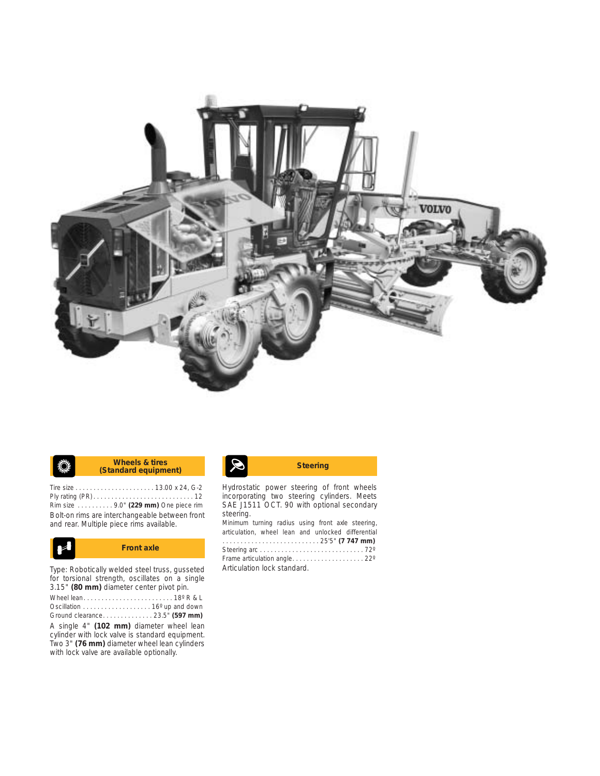

| Ö, | Wheels & tires<br>(Standard equipment) | $ \mathcal{S} $ | <b>Steering</b> |
|----|----------------------------------------|-----------------|-----------------|
|    |                                        |                 |                 |

Tire size . . . . . . . . . . . . . . . . . . . . . . 13.00 x 24, G-2 Ply rating (PR) . . . . . . . . . . . . . . . . . . . . . . . . . . . . 12 Rim size . . . . . . . . . . 9.0" **(229 mm)** One piece rim Bolt-on rims are interchangeable between front and rear. Multiple piece rims available.



Type: Robotically welded steel truss, gusseted for torsional strength, oscillates on a single 3.15" **(80 mm)** diameter center pivot pin. Wheel lean. . . . . . . . . . . . . . . . . . . . . . . . . 18º R & L Oscillation . . . . . . . . . . . . . . . . . . . 16º up and down Ground clearance. . . . . . . . . . . . . . 23.5" **(597 mm)** A single 4" **(102 mm)** diameter wheel lean

cylinder with lock valve is standard equipment. Two 3" **(76 mm)** diameter wheel lean cylinders with lock valve are available optionally.

Hydrostatic power steering of front wheels incorporating two steering cylinders. Meets SAE J1511 OCT. 90 with optional secondary steering.

Minimum turning radius using front axle steering, articulation, wheel lean and unlocked differential . . . . . . . . . . . . . . . . . . . . . . . . . . . 25'5" **(7 747 mm)** Steering arc . . . . . . . . . . . . . . . . . . . . . . . . . . . . . 72º Frame articulation angle. . . . . . . . . . . . . . . . . . . . 22º Articulation lock standard.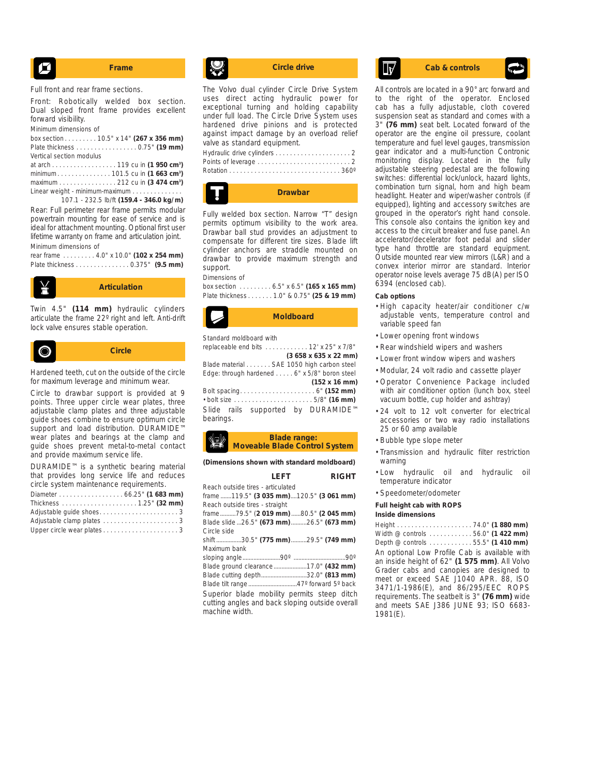$$
\begin{array}{|c|c|}\n\hline\n\end{array}
$$
 **Frame**

Full front and rear frame sections.

Front: Robotically welded box section. Dual sloped front frame provides excellent forward visibility.

Minimum dimensions of

box section . . . . . . . . . 10.5" x 14" **(267 x 356 mm)** Plate thickness . . . . . . . . . . . . . . . . . 0.75" **(19 mm)** Vertical section modulus at arch . . . . . . . . . . . . . . . . . . 119 cu in **(1 950 cm3 )** minimum . . . . . . . . . . . . . . . 101.5 cu in **(1 663 cm3 )**

maximum . . . . . . . . . . . . . . . . 212 cu in **(3 474 cm3 )** Linear weight - minimum-maximum . . . . . . . . . . . 107.1 - 232.5 lb/ft **(159.4 - 346.0 kg/m)**

Rear: Full perimeter rear frame permits modular powertrain mounting for ease of service and is ideal for attachment mounting. Optional first user lifetime warranty on frame and articulation joint. Minimum dimensions of

rear frame . . . . . . . . . 4.0" x 10.0" **(102 x 254 mm)** Plate thickness . . . . . . . . . . . . . . . 0.375" **(9.5 mm)**



Twin 4.5" **(114 mm)** hydraulic cylinders articulate the frame 22º right and left. Anti-drift lock valve ensures stable operation.



Hardened teeth, cut on the outside of the circle for maximum leverage and minimum wear.

Circle to drawbar support is provided at 9 points. Three upper circle wear plates, three adjustable clamp plates and three adjustable guide shoes combine to ensure optimum circle support and load distribution. DURAMIDE™ wear plates and bearings at the clamp and guide shoes prevent metal-to-metal contact and provide maximum service life.

| DURAMIDE™ is a synthetic bearing material   |  |  |  |
|---------------------------------------------|--|--|--|
| that provides long service life and reduces |  |  |  |
| circle system maintenance requirements.     |  |  |  |
| Diameter 66.25" (1 683 mm)                  |  |  |  |
|                                             |  |  |  |
|                                             |  |  |  |

| Adjustable guide shoes3   |  |
|---------------------------|--|
|                           |  |
| Upper circle wear plates3 |  |



The Volvo dual cylinder Circle Drive System uses direct acting hydraulic power for exceptional turning and holding capability under full load. The Circle Drive System uses hardened drive pinions and is protected against impact damage by an overload relief valve as standard equipment. Hydraulic drive cylinders . . . . . . . . . . . . . . . . . . . . . 2



Fully welded box section. Narrow "T" design permits optimum visibility to the work area. Drawbar ball stud provides an adjustment to compensate for different tire sizes. Blade lift cylinder anchors are straddle mounted on drawbar to provide maximum strength and support.

#### Dimensions of

box section . . . . . . . . . 6.5" x 6.5" **(165 x 165 mm)** Plate thickness . . . . . . . 1.0" & 0.75" **(25 & 19 mm)**



Standard moldboard with

replaceable end bits . . . . . . . . . . . . 12' x 25" x 7/8" **(3 658 x 635 x 22 mm)** Blade material . . . . . . . SAE 1050 high carbon steel Edge: through hardened . . . . . 6" x 5/8" boron steel **(152 x 16 mm)** Bolt spacing. . . . . . . . . . . . . . . . . . . . . 6" **(152 mm)** • bolt size . . . . . . . . . . . . . . . . . . . . . . 5/8" **(16 mm)**

Slide rails supported by DURAMIDE™ bearings.

#### **Blade range: Moveable Blade Control System**

**(Dimensions shown with standard moldboard)**

|                                   | I FFT | <b>RIGHT</b>                                    |
|-----------------------------------|-------|-------------------------------------------------|
| Reach outside tires - articulated |       |                                                 |
|                                   |       | frame119.5" (3 035 mm)120.5" (3 061 mm)         |
| Reach outside tires - straight    |       |                                                 |
|                                   |       | frame79.5" (2 019 mm) 80.5" (2 045 mm)          |
|                                   |       | Blade slide 26.5" (673 mm) 26.5" (673 mm)       |
| Circle side                       |       |                                                 |
|                                   |       | shift 30.5" (775 mm) 29.5" (749 mm)             |
| Maximum bank                      |       |                                                 |
|                                   |       |                                                 |
|                                   |       |                                                 |
|                                   |       | Blade cutting depth32.0" (813 mm)               |
|                                   |       |                                                 |
|                                   |       | Superior blade mobility permits steep ditch     |
|                                   |       | cutting angles and back sloping outside overall |
| machine width.                    |       |                                                 |

## **Circle drive Cab & controls**

All controls are located in a 90° arc forward and to the right of the operator. Enclosed cab has a fully adjustable, cloth covered suspension seat as standard and comes with a 3" **(76 mm)** seat belt. Located forward of the operator are the engine oil pressure, coolant temperature and fuel level gauges, transmission gear indicator and a multi-function Contronic monitoring display. Located in the fully adjustable steering pedestal are the following switches: differential lock/unlock, hazard lights, combination turn signal, horn and high beam headlight. Heater and wiper/washer controls (if equipped), lighting and accessory switches are grouped in the operator's right hand console. This console also contains the ignition key and access to the circuit breaker and fuse panel. An accelerator/decelerator foot pedal and slider type hand throttle are standard equipment. Outside mounted rear view mirrors (L&R) and a convex interior mirror are standard. Interior operator noise levels average 75 dB(A) per ISO 6394 (enclosed cab).

#### **Cab options**

- High capacity heater/air conditioner c/w adjustable vents, temperature control and variable speed fan
- Lower opening front windows
- Rear windshield wipers and washers
- Lower front window wipers and washers
- Modular, 24 volt radio and cassette player
- Operator Convenience Package included with air conditioner option (lunch box, steel vacuum bottle, cup holder and ashtray)
- 24 volt to 12 volt converter for electrical accessories or two way radio installations 25 or 60 amp available
- Bubble type slope meter
- Transmission and hydraulic filter restriction warning
- Low hydraulic oil and hydraulic oil temperature indicator
- Speedometer/odometer

#### **Full height cab with ROPS**

**Inside dimensions**

Height . . . . . . . . . . . . . . . . . . . . . 74.0" **(1 880 mm)** Width @ controls . . . . . . . . . . . . 56.0" **(1 422 mm)** Depth @ controls . . . . . . . . . . . . 55.5" **(1 410 mm)** An optional Low Profile Cab is available with an inside height of 62" **(1 575 mm)**. All Volvo Grader cabs and canopies are designed to meet or exceed SAE J1040 APR. 88, ISO 3471/1-1986(E), and 86/295/EEC ROPS requirements. The seatbelt is 3" **(76 mm)** wide and meets SAE J386 JUNE 93; ISO 6683- 1981(E).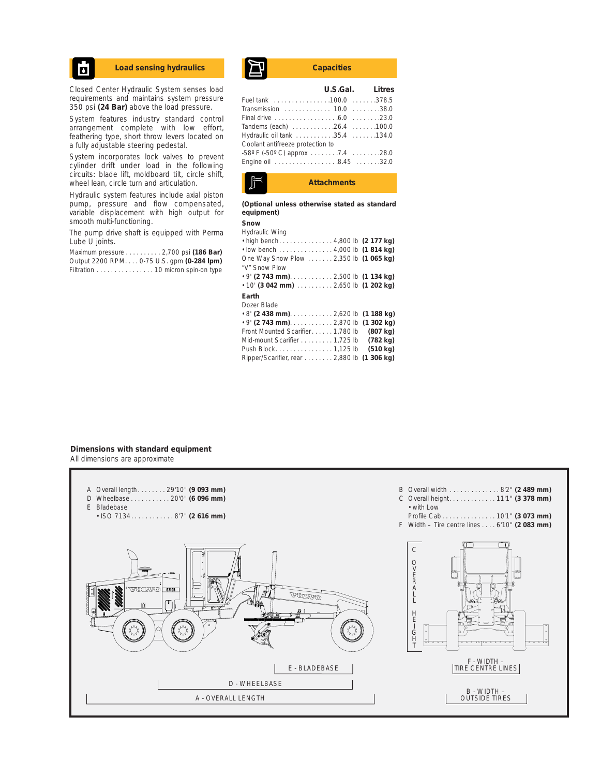## Ы

Closed Center Hydraulic System senses load requirements and maintains system pressure 350 psi **(24 Bar)** above the load pressure.

System features industry standard control arrangement complete with low effort, feathering type, short throw levers located on a fully adjustable steering pedestal.

System incorporates lock valves to prevent cylinder drift under load in the following circuits: blade lift, moldboard tilt, circle shift, wheel lean, circle turn and articulation.

Hydraulic system features include axial piston pump, pressure and flow compensated, variable displacement with high output for smooth multi-functioning.

The pump drive shaft is equipped with Perma Lube U joints.

Maximum pressure . . . . . . . . . . 2,700 psi **(186 Bar)** Output 2200 RPM. . . . 0-75 U.S. gpm **(0-284 lpm)** Filtration . . . . . . . . . . . . . . . . 10 micron spin-on type



|                                  | U.S.Gal. Litres |  |
|----------------------------------|-----------------|--|
| Fuel tank 100.0 378.5            |                 |  |
| Transmission  10.0 38.0          |                 |  |
|                                  |                 |  |
| Tandems (each) 26.4 100.0        |                 |  |
| Hydraulic oil tank 35.4 134.0    |                 |  |
| Coolant antifreeze protection to |                 |  |
| -58° F (-50° C) approx 7.4 28.0  |                 |  |
| Engine oil 8.45 32.0             |                 |  |
|                                  |                 |  |



**(Optional unless otherwise stated as standard equipment)**

#### **Snow**

| Hydraulic Wing                              |  |  |
|---------------------------------------------|--|--|
| • high bench4,800 lb (2 177 kg)             |  |  |
| $\cdot$ low bench 4,000 lb (1814 kg)        |  |  |
| One Way Snow Plow 2,350 lb (1 065 kg)       |  |  |
| "V" Snow Plow                               |  |  |
|                                             |  |  |
| $\cdot$ 10' (3 042 mm)  2,650 lb (1 202 kg) |  |  |
|                                             |  |  |

#### **Earth**

Dozer Blade • 8' **(2 438 mm)**. . . . . . . . . . . . 2,620 lb **(1 188 kg)** • 9' **(2 743 mm)**. . . . . . . . . . . . 2,870 lb **(1 302 kg)** Front Mounted Scarifier. . . . . . 1,780 lb **(807 kg)** Mid-mount Scarifier . . . . . . . . . 1,725 lb **(782 kg)** Push Block. . . . . . . . . . . . . . . . 1,125 lb **(510 kg)** Ripper/Scarifier, rear . . . . . . . . 2,880 lb **(1 306 kg)**

#### **Dimensions with standard equipment** All dimensions are approximate